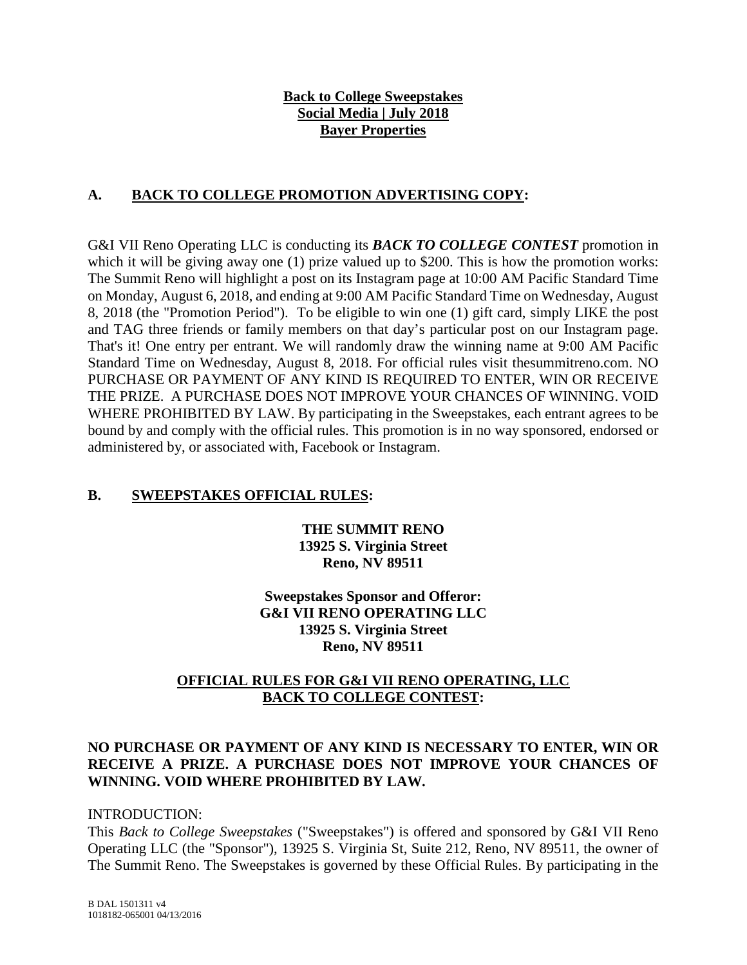# **Back to College Sweepstakes Social Media | July 2018 Bayer Properties**

# **A. BACK TO COLLEGE PROMOTION ADVERTISING COPY:**

G&I VII Reno Operating LLC is conducting its *BACK TO COLLEGE CONTEST* promotion in which it will be giving away one (1) prize valued up to \$200. This is how the promotion works: The Summit Reno will highlight a post on its Instagram page at 10:00 AM Pacific Standard Time on Monday, August 6, 2018, and ending at 9:00 AM Pacific Standard Time on Wednesday, August 8, 2018 (the "Promotion Period"). To be eligible to win one (1) gift card, simply LIKE the post and TAG three friends or family members on that day's particular post on our Instagram page. That's it! One entry per entrant. We will randomly draw the winning name at 9:00 AM Pacific Standard Time on Wednesday, August 8, 2018. For official rules visit thesummitreno.com. NO PURCHASE OR PAYMENT OF ANY KIND IS REQUIRED TO ENTER, WIN OR RECEIVE THE PRIZE. A PURCHASE DOES NOT IMPROVE YOUR CHANCES OF WINNING. VOID WHERE PROHIBITED BY LAW. By participating in the Sweepstakes, each entrant agrees to be bound by and comply with the official rules. This promotion is in no way sponsored, endorsed or administered by, or associated with, Facebook or Instagram.

# **B. SWEEPSTAKES OFFICIAL RULES:**

**THE SUMMIT RENO 13925 S. Virginia Street Reno, NV 89511**

**Sweepstakes Sponsor and Offeror: G&I VII RENO OPERATING LLC 13925 S. Virginia Street Reno, NV 89511**

# **OFFICIAL RULES FOR G&I VII RENO OPERATING, LLC BACK TO COLLEGE CONTEST:**

## **NO PURCHASE OR PAYMENT OF ANY KIND IS NECESSARY TO ENTER, WIN OR RECEIVE A PRIZE. A PURCHASE DOES NOT IMPROVE YOUR CHANCES OF WINNING. VOID WHERE PROHIBITED BY LAW.**

### INTRODUCTION:

This *Back to College Sweepstakes* ("Sweepstakes") is offered and sponsored by G&I VII Reno Operating LLC (the "Sponsor"), 13925 S. Virginia St, Suite 212, Reno, NV 89511, the owner of The Summit Reno. The Sweepstakes is governed by these Official Rules. By participating in the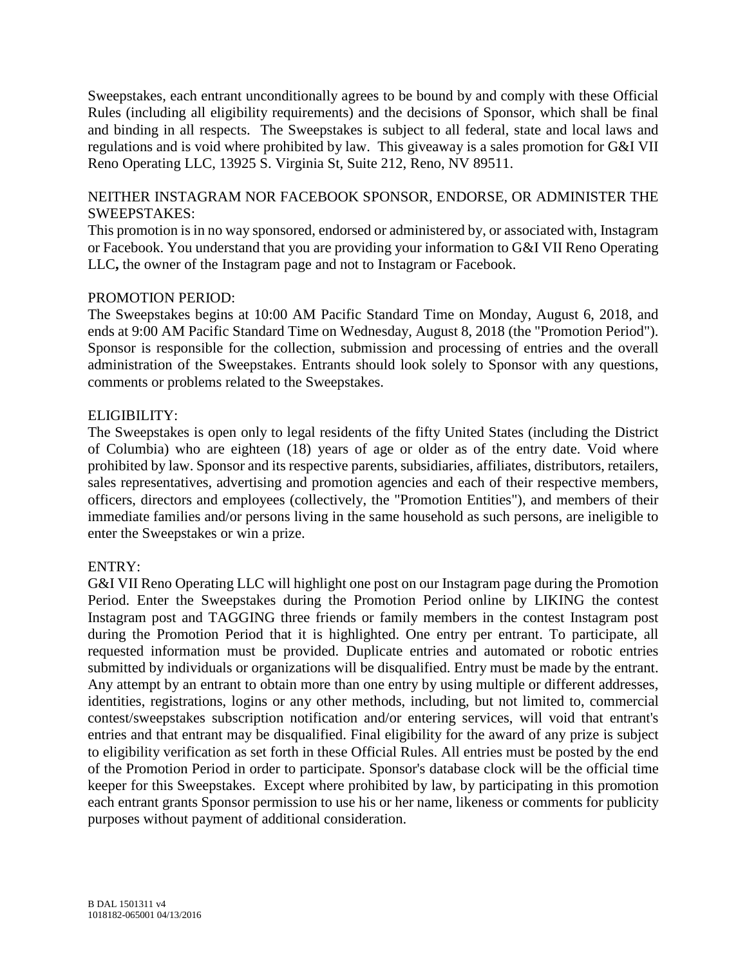Sweepstakes, each entrant unconditionally agrees to be bound by and comply with these Official Rules (including all eligibility requirements) and the decisions of Sponsor, which shall be final and binding in all respects. The Sweepstakes is subject to all federal, state and local laws and regulations and is void where prohibited by law. This giveaway is a sales promotion for G&I VII Reno Operating LLC, 13925 S. Virginia St, Suite 212, Reno, NV 89511.

## NEITHER INSTAGRAM NOR FACEBOOK SPONSOR, ENDORSE, OR ADMINISTER THE SWEEPSTAKES:

This promotion is in no way sponsored, endorsed or administered by, or associated with, Instagram or Facebook. You understand that you are providing your information to G&I VII Reno Operating LLC**,** the owner of the Instagram page and not to Instagram or Facebook.

## PROMOTION PERIOD:

The Sweepstakes begins at 10:00 AM Pacific Standard Time on Monday, August 6, 2018, and ends at 9:00 AM Pacific Standard Time on Wednesday, August 8, 2018 (the "Promotion Period"). Sponsor is responsible for the collection, submission and processing of entries and the overall administration of the Sweepstakes. Entrants should look solely to Sponsor with any questions, comments or problems related to the Sweepstakes.

## ELIGIBILITY:

The Sweepstakes is open only to legal residents of the fifty United States (including the District of Columbia) who are eighteen (18) years of age or older as of the entry date. Void where prohibited by law. Sponsor and its respective parents, subsidiaries, affiliates, distributors, retailers, sales representatives, advertising and promotion agencies and each of their respective members, officers, directors and employees (collectively, the "Promotion Entities"), and members of their immediate families and/or persons living in the same household as such persons, are ineligible to enter the Sweepstakes or win a prize.

### ENTRY:

G&I VII Reno Operating LLC will highlight one post on our Instagram page during the Promotion Period. Enter the Sweepstakes during the Promotion Period online by LIKING the contest Instagram post and TAGGING three friends or family members in the contest Instagram post during the Promotion Period that it is highlighted. One entry per entrant. To participate, all requested information must be provided. Duplicate entries and automated or robotic entries submitted by individuals or organizations will be disqualified. Entry must be made by the entrant. Any attempt by an entrant to obtain more than one entry by using multiple or different addresses, identities, registrations, logins or any other methods, including, but not limited to, commercial contest/sweepstakes subscription notification and/or entering services, will void that entrant's entries and that entrant may be disqualified. Final eligibility for the award of any prize is subject to eligibility verification as set forth in these Official Rules. All entries must be posted by the end of the Promotion Period in order to participate. Sponsor's database clock will be the official time keeper for this Sweepstakes. Except where prohibited by law, by participating in this promotion each entrant grants Sponsor permission to use his or her name, likeness or comments for publicity purposes without payment of additional consideration.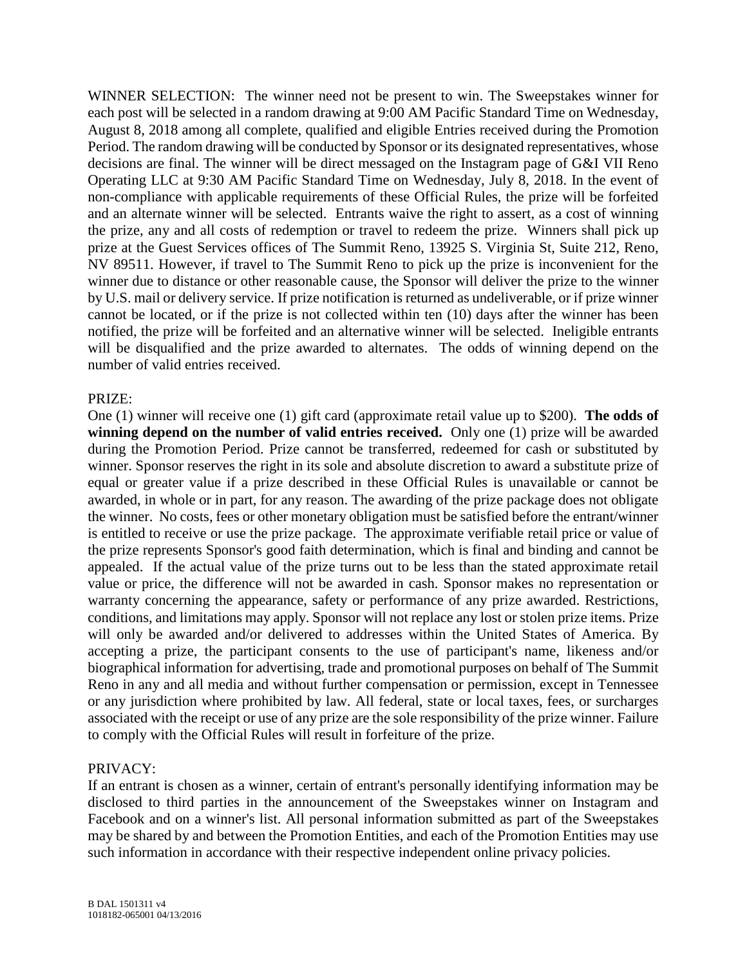WINNER SELECTION: The winner need not be present to win. The Sweepstakes winner for each post will be selected in a random drawing at 9:00 AM Pacific Standard Time on Wednesday, August 8, 2018 among all complete, qualified and eligible Entries received during the Promotion Period. The random drawing will be conducted by Sponsor or its designated representatives, whose decisions are final. The winner will be direct messaged on the Instagram page of G&I VII Reno Operating LLC at 9:30 AM Pacific Standard Time on Wednesday, July 8, 2018. In the event of non-compliance with applicable requirements of these Official Rules, the prize will be forfeited and an alternate winner will be selected. Entrants waive the right to assert, as a cost of winning the prize, any and all costs of redemption or travel to redeem the prize. Winners shall pick up prize at the Guest Services offices of The Summit Reno, 13925 S. Virginia St, Suite 212, Reno, NV 89511. However, if travel to The Summit Reno to pick up the prize is inconvenient for the winner due to distance or other reasonable cause, the Sponsor will deliver the prize to the winner by U.S. mail or delivery service. If prize notification is returned as undeliverable, or if prize winner cannot be located, or if the prize is not collected within ten (10) days after the winner has been notified, the prize will be forfeited and an alternative winner will be selected. Ineligible entrants will be disqualified and the prize awarded to alternates. The odds of winning depend on the number of valid entries received.

### PRIZE:

One (1) winner will receive one (1) gift card (approximate retail value up to \$200). **The odds of winning depend on the number of valid entries received.** Only one (1) prize will be awarded during the Promotion Period. Prize cannot be transferred, redeemed for cash or substituted by winner. Sponsor reserves the right in its sole and absolute discretion to award a substitute prize of equal or greater value if a prize described in these Official Rules is unavailable or cannot be awarded, in whole or in part, for any reason. The awarding of the prize package does not obligate the winner. No costs, fees or other monetary obligation must be satisfied before the entrant/winner is entitled to receive or use the prize package. The approximate verifiable retail price or value of the prize represents Sponsor's good faith determination, which is final and binding and cannot be appealed. If the actual value of the prize turns out to be less than the stated approximate retail value or price, the difference will not be awarded in cash. Sponsor makes no representation or warranty concerning the appearance, safety or performance of any prize awarded. Restrictions, conditions, and limitations may apply. Sponsor will not replace any lost or stolen prize items. Prize will only be awarded and/or delivered to addresses within the United States of America. By accepting a prize, the participant consents to the use of participant's name, likeness and/or biographical information for advertising, trade and promotional purposes on behalf of The Summit Reno in any and all media and without further compensation or permission, except in Tennessee or any jurisdiction where prohibited by law. All federal, state or local taxes, fees, or surcharges associated with the receipt or use of any prize are the sole responsibility of the prize winner. Failure to comply with the Official Rules will result in forfeiture of the prize.

### PRIVACY:

If an entrant is chosen as a winner, certain of entrant's personally identifying information may be disclosed to third parties in the announcement of the Sweepstakes winner on Instagram and Facebook and on a winner's list. All personal information submitted as part of the Sweepstakes may be shared by and between the Promotion Entities, and each of the Promotion Entities may use such information in accordance with their respective independent online privacy policies.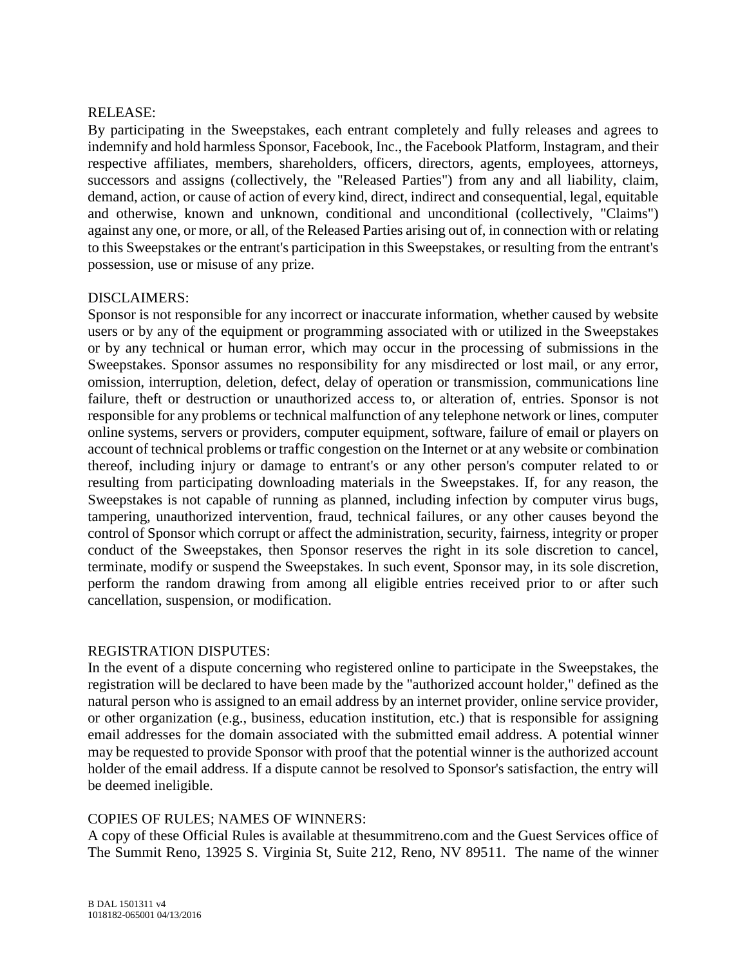#### RELEASE:

By participating in the Sweepstakes, each entrant completely and fully releases and agrees to indemnify and hold harmless Sponsor, Facebook, Inc., the Facebook Platform, Instagram, and their respective affiliates, members, shareholders, officers, directors, agents, employees, attorneys, successors and assigns (collectively, the "Released Parties") from any and all liability, claim, demand, action, or cause of action of every kind, direct, indirect and consequential, legal, equitable and otherwise, known and unknown, conditional and unconditional (collectively, "Claims") against any one, or more, or all, of the Released Parties arising out of, in connection with or relating to this Sweepstakes or the entrant's participation in this Sweepstakes, or resulting from the entrant's possession, use or misuse of any prize.

#### DISCLAIMERS:

Sponsor is not responsible for any incorrect or inaccurate information, whether caused by website users or by any of the equipment or programming associated with or utilized in the Sweepstakes or by any technical or human error, which may occur in the processing of submissions in the Sweepstakes. Sponsor assumes no responsibility for any misdirected or lost mail, or any error, omission, interruption, deletion, defect, delay of operation or transmission, communications line failure, theft or destruction or unauthorized access to, or alteration of, entries. Sponsor is not responsible for any problems or technical malfunction of any telephone network or lines, computer online systems, servers or providers, computer equipment, software, failure of email or players on account of technical problems or traffic congestion on the Internet or at any website or combination thereof, including injury or damage to entrant's or any other person's computer related to or resulting from participating downloading materials in the Sweepstakes. If, for any reason, the Sweepstakes is not capable of running as planned, including infection by computer virus bugs, tampering, unauthorized intervention, fraud, technical failures, or any other causes beyond the control of Sponsor which corrupt or affect the administration, security, fairness, integrity or proper conduct of the Sweepstakes, then Sponsor reserves the right in its sole discretion to cancel, terminate, modify or suspend the Sweepstakes. In such event, Sponsor may, in its sole discretion, perform the random drawing from among all eligible entries received prior to or after such cancellation, suspension, or modification.

#### REGISTRATION DISPUTES:

In the event of a dispute concerning who registered online to participate in the Sweepstakes, the registration will be declared to have been made by the "authorized account holder," defined as the natural person who is assigned to an email address by an internet provider, online service provider, or other organization (e.g., business, education institution, etc.) that is responsible for assigning email addresses for the domain associated with the submitted email address. A potential winner may be requested to provide Sponsor with proof that the potential winner is the authorized account holder of the email address. If a dispute cannot be resolved to Sponsor's satisfaction, the entry will be deemed ineligible.

### COPIES OF RULES; NAMES OF WINNERS:

A copy of these Official Rules is available at thesummitreno.com and the Guest Services office of The Summit Reno, 13925 S. Virginia St, Suite 212, Reno, NV 89511. The name of the winner